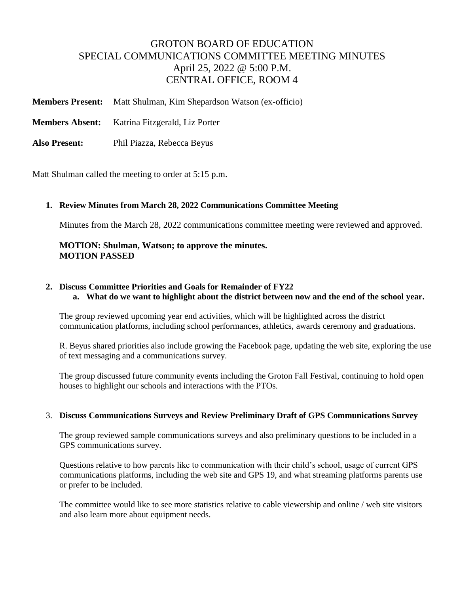# GROTON BOARD OF EDUCATION SPECIAL COMMUNICATIONS COMMITTEE MEETING MINUTES April 25, 2022 @ 5:00 P.M. CENTRAL OFFICE, ROOM 4

**Members Present:** Matt Shulman, Kim Shepardson Watson (ex-officio)

**Members Absent:** Katrina Fitzgerald, Liz Porter

**Also Present:** Phil Piazza, Rebecca Beyus

Matt Shulman called the meeting to order at 5:15 p.m.

### **1. Review Minutes from March 28, 2022 Communications Committee Meeting**

Minutes from the March 28, 2022 communications committee meeting were reviewed and approved.

### **MOTION: Shulman, Watson; to approve the minutes. MOTION PASSED**

## **2. Discuss Committee Priorities and Goals for Remainder of FY22**

**a. What do we want to highlight about the district between now and the end of the school year.** 

The group reviewed upcoming year end activities, which will be highlighted across the district communication platforms, including school performances, athletics, awards ceremony and graduations.

R. Beyus shared priorities also include growing the Facebook page, updating the web site, exploring the use of text messaging and a communications survey.

The group discussed future community events including the Groton Fall Festival, continuing to hold open houses to highlight our schools and interactions with the PTOs.

#### 3. **Discuss Communications Surveys and Review Preliminary Draft of GPS Communications Survey**

The group reviewed sample communications surveys and also preliminary questions to be included in a GPS communications survey.

Questions relative to how parents like to communication with their child's school, usage of current GPS communications platforms, including the web site and GPS 19, and what streaming platforms parents use or prefer to be included.

The committee would like to see more statistics relative to cable viewership and online / web site visitors and also learn more about equipment needs.